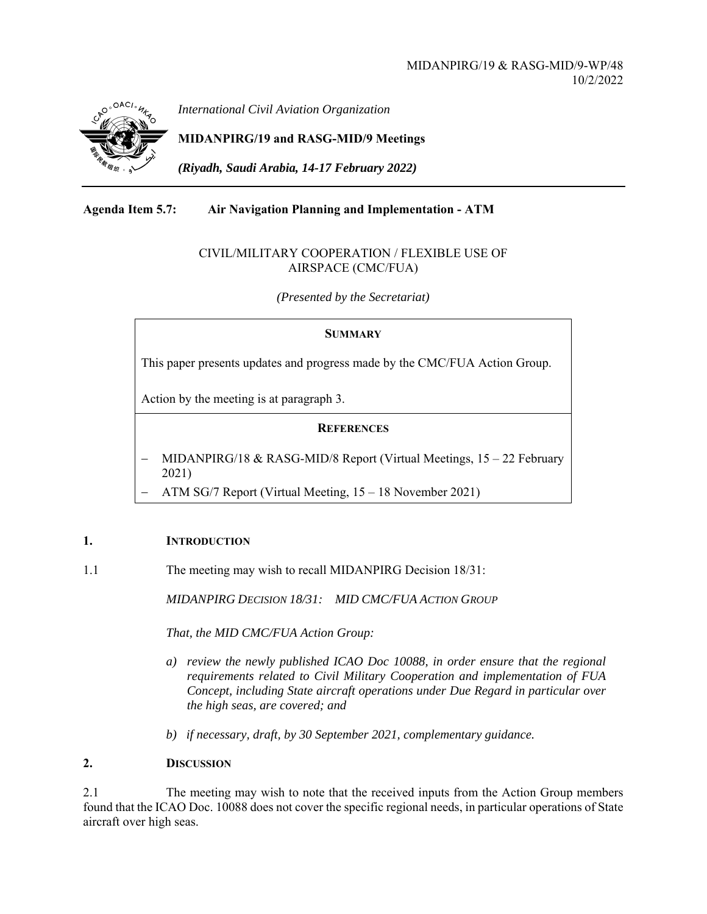

*International Civil Aviation Organization*

# **MIDANPIRG/19 and RASG-MID/9 Meetings**

*(Riyadh, Saudi Arabia, 14-17 February 2022)* 

## **Agenda Item 5.7: Air Navigation Planning and Implementation - ATM**

#### CIVIL/MILITARY COOPERATION / FLEXIBLE USE OF AIRSPACE (CMC/FUA)

*(Presented by the Secretariat)* 

#### **SUMMARY**

This paper presents updates and progress made by the CMC/FUA Action Group.

Action by the meeting is at paragraph 3.

### **REFERENCES**

- MIDANPIRG/18 & RASG-MID/8 Report (Virtual Meetings, 15 22 February 2021)
- ATM SG/7 Report (Virtual Meeting, 15 18 November 2021)

#### **1. INTRODUCTION**

1.1 The meeting may wish to recall MIDANPIRG Decision 18/31:

*MIDANPIRG DECISION 18/31: MID CMC/FUA ACTION GROUP* 

*That, the MID CMC/FUA Action Group:* 

- *a) review the newly published ICAO Doc 10088, in order ensure that the regional requirements related to Civil Military Cooperation and implementation of FUA Concept, including State aircraft operations under Due Regard in particular over the high seas, are covered; and*
- *b) if necessary, draft, by 30 September 2021, complementary guidance.*

#### **2. DISCUSSION**

2.1 The meeting may wish to note that the received inputs from the Action Group members found that the ICAO Doc. 10088 does not cover the specific regional needs, in particular operations of State aircraft over high seas.